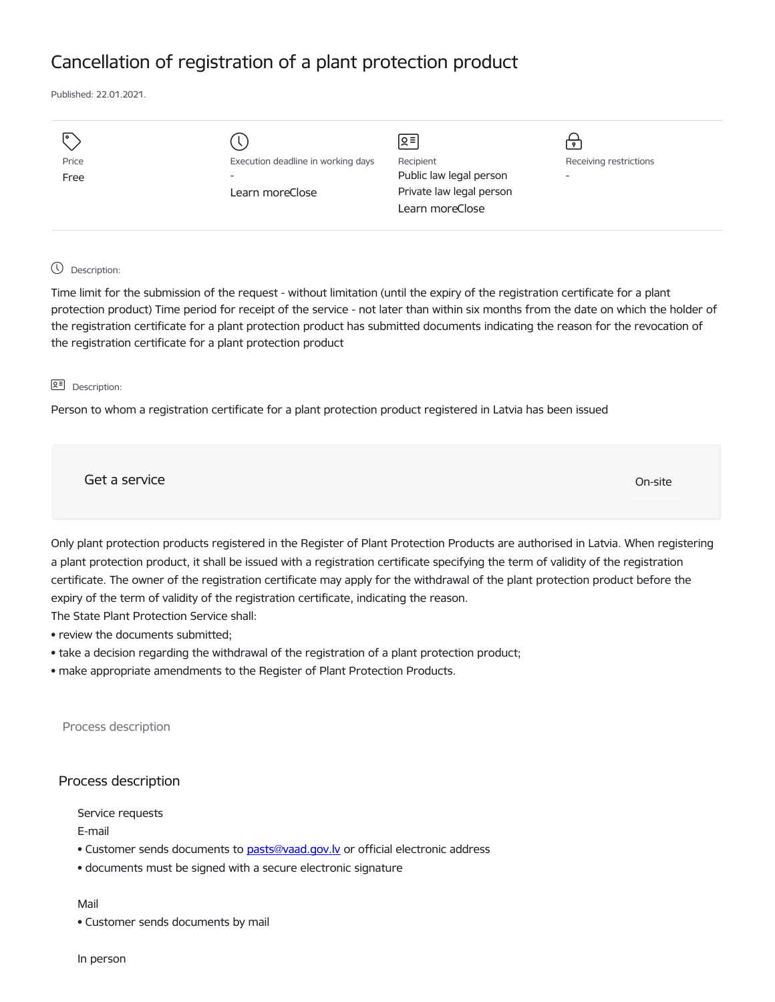## Cancellation of registration of a plant protection product

Published: 22.01.2021.

| Execution deadline in working days<br>Learn moreClose | Զ≡ <br>Recipient<br>Public law legal person<br>Private law legal person<br>Learn moreClose | Receiving restrictions<br>$\overline{\phantom{a}}$ |
|-------------------------------------------------------|--------------------------------------------------------------------------------------------|----------------------------------------------------|
|                                                       |                                                                                            |                                                    |
|                                                       |                                                                                            |                                                    |

## Description:

Time limit for the submission of the request - without limitation (until the expiry of the registration certificate for a plant protection product) Time period for receipt of the service - not later than within six months from the date on which the holder of the registration certificate for a plant protection product has submitted documents indicating the reason for the revocation of the registration certificate for a plant protection product

## Description:

Person to whom a registration certificate for a plant protection product registered in Latvia has been issued

Get a service On-site

Only plant protection products registered in the Register of Plant Protection Products are authorised in Latvia. When registering a plant protection product, it shall be issued with a registration certificate specifying the term of validity of the registration certificate. The owner of the registration certificate may apply for the withdrawal of the plant protection product before the expiry of the term of validity of the registration certificate, indicating the reason.

The State Plant Protection Service shall:

- review the documents submitted;
- take a decision regarding the withdrawal of the registration of a plant protection product;
- make appropriate amendments to the Register of Plant Protection Products.

Process description

## Process description

Service requests

E-mail

- Customer sends documents to pasts@vaad.gov.ly or official electronic address
- documents must be signed with a secure electronic signature

Mail

• Customer sends documents by mail

In person